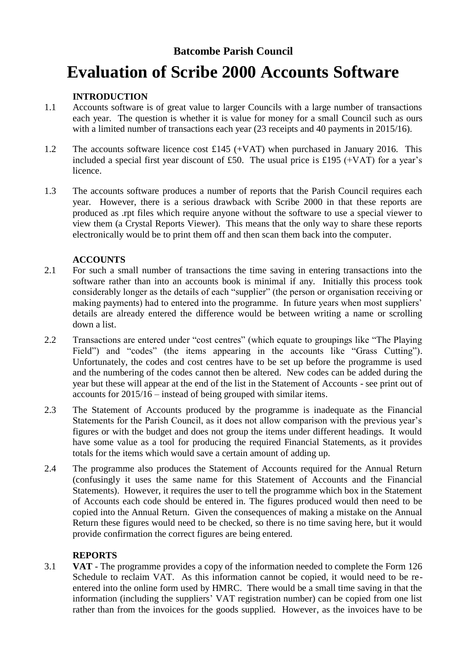# **Batcombe Parish Council**

# **Evaluation of Scribe 2000 Accounts Software**

### **INTRODUCTION**

- 1.1 Accounts software is of great value to larger Councils with a large number of transactions each year. The question is whether it is value for money for a small Council such as ours with a limited number of transactions each year (23 receipts and 40 payments in 2015/16).
- 1.2 The accounts software licence cost £145 (+VAT) when purchased in January 2016. This included a special first year discount of £50. The usual price is £195 (+VAT) for a year's licence.
- 1.3 The accounts software produces a number of reports that the Parish Council requires each year. However, there is a serious drawback with Scribe 2000 in that these reports are produced as .rpt files which require anyone without the software to use a special viewer to view them (a Crystal Reports Viewer). This means that the only way to share these reports electronically would be to print them off and then scan them back into the computer.

## **ACCOUNTS**

- 2.1 For such a small number of transactions the time saving in entering transactions into the software rather than into an accounts book is minimal if any. Initially this process took considerably longer as the details of each "supplier" (the person or organisation receiving or making payments) had to entered into the programme. In future years when most suppliers' details are already entered the difference would be between writing a name or scrolling down a list.
- 2.2 Transactions are entered under "cost centres" (which equate to groupings like "The Playing Field") and "codes" (the items appearing in the accounts like "Grass Cutting"). Unfortunately, the codes and cost centres have to be set up before the programme is used and the numbering of the codes cannot then be altered. New codes can be added during the year but these will appear at the end of the list in the Statement of Accounts - see print out of accounts for 2015/16 – instead of being grouped with similar items.
- 2.3 The Statement of Accounts produced by the programme is inadequate as the Financial Statements for the Parish Council, as it does not allow comparison with the previous year's figures or with the budget and does not group the items under different headings. It would have some value as a tool for producing the required Financial Statements, as it provides totals for the items which would save a certain amount of adding up.
- 2.4 The programme also produces the Statement of Accounts required for the Annual Return (confusingly it uses the same name for this Statement of Accounts and the Financial Statements). However, it requires the user to tell the programme which box in the Statement of Accounts each code should be entered in. The figures produced would then need to be copied into the Annual Return. Given the consequences of making a mistake on the Annual Return these figures would need to be checked, so there is no time saving here, but it would provide confirmation the correct figures are being entered.

#### **REPORTS**

3.1 **VAT** - The programme provides a copy of the information needed to complete the Form 126 Schedule to reclaim VAT. As this information cannot be copied, it would need to be reentered into the online form used by HMRC. There would be a small time saving in that the information (including the suppliers' VAT registration number) can be copied from one list rather than from the invoices for the goods supplied. However, as the invoices have to be